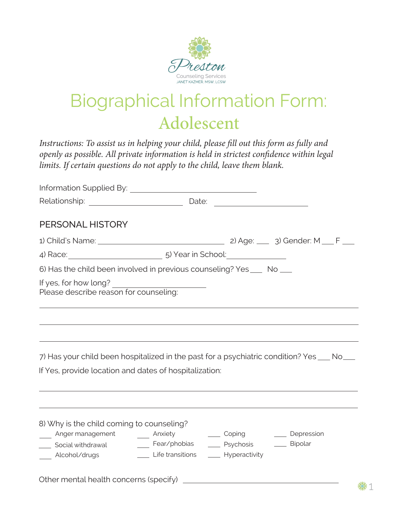

## Biographical Information Form: Adolescent

*Instructions: To assist us in helping your child, please fill out this form as fully and openly as possible. All private information is held in strictest confidence within legal limits. If certain questions do not apply to the child, leave them blank.*

| PERSONAL HISTORY                                                                                                                                                                                                                                    |                                                                                  |  |  |  |
|-----------------------------------------------------------------------------------------------------------------------------------------------------------------------------------------------------------------------------------------------------|----------------------------------------------------------------------------------|--|--|--|
|                                                                                                                                                                                                                                                     |                                                                                  |  |  |  |
| 4) Race: 10 March 2014 10: 5) Year in School:                                                                                                                                                                                                       |                                                                                  |  |  |  |
| 6) Has the child been involved in previous counseling? Yes ___ No ___                                                                                                                                                                               |                                                                                  |  |  |  |
| If yes, for how long?<br>Please describe reason for counseling:                                                                                                                                                                                     | ,我们也不会有什么。""我们的人,我们也不会有什么?""我们的人,我们也不会有什么?""我们的人,我们也不会有什么?""我们的人,我们也不会有什么?""我们的人 |  |  |  |
| 7) Has your child been hospitalized in the past for a psychiatric condition? Yes ___ No___                                                                                                                                                          |                                                                                  |  |  |  |
| If Yes, provide location and dates of hospitalization:                                                                                                                                                                                              |                                                                                  |  |  |  |
|                                                                                                                                                                                                                                                     |                                                                                  |  |  |  |
|                                                                                                                                                                                                                                                     |                                                                                  |  |  |  |
| 8) Why is the child coming to counseling?                                                                                                                                                                                                           |                                                                                  |  |  |  |
| _____ Anger management ________ Anxiety __________ Coping _________ Depression<br>____ Social withdrawal _________ Fear/phobias _______ Psychosis ________ Bipolar<br>Alcohol/drugs _______________________Life transitions _________ Hyperactivity |                                                                                  |  |  |  |
|                                                                                                                                                                                                                                                     |                                                                                  |  |  |  |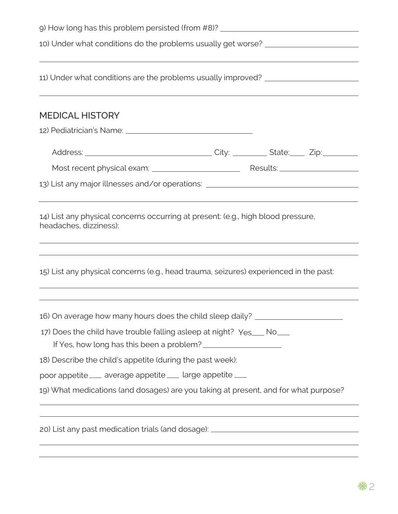| 10) Under what conditions do the problems usually get worse? ___________________                               |                                                             |  |  |
|----------------------------------------------------------------------------------------------------------------|-------------------------------------------------------------|--|--|
|                                                                                                                |                                                             |  |  |
| 11) Under what conditions are the problems usually improved? ___________________                               |                                                             |  |  |
| <b>MEDICAL HISTORY</b>                                                                                         |                                                             |  |  |
| 12) Pediatrician's Name: 2008. 2009. 2010. 2010. 2010. 2010. 2010. 2010. 2010. 2011. 2012. 2014. 2016. 2017. 2 |                                                             |  |  |
|                                                                                                                |                                                             |  |  |
|                                                                                                                |                                                             |  |  |
| 13) List any major illnesses and/or operations: ________________________________                               |                                                             |  |  |
| 14) List any physical concerns occurring at present: (e.g., high blood pressure,<br>headaches, dizziness):     |                                                             |  |  |
| 15) List any physical concerns (e.g., head trauma, seizures) experienced in the past:                          |                                                             |  |  |
| 16) On average how many hours does the child sleep daily? ______________________                               |                                                             |  |  |
| 17) Does the child have trouble falling asleep at night? Yes___ No___                                          |                                                             |  |  |
| 18) Describe the child's appetite (during the past week):                                                      |                                                             |  |  |
| poor appetite ___ average appetite ___ large appetite ___                                                      |                                                             |  |  |
| 19) What medications (and dosages) are you taking at present, and for what purpose?                            |                                                             |  |  |
| 20) List any past medication trials (and dosage): ______________________________                               |                                                             |  |  |
|                                                                                                                | <u> 1989 - Johann Stoff, amerikansk politiker (d. 1989)</u> |  |  |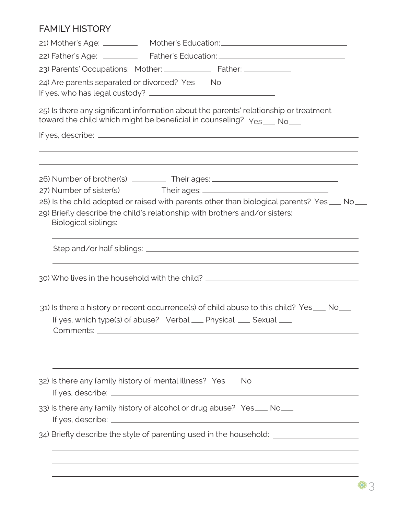## FAMILY HISTORY

|                                                                                                                                                               | 21) Mother's Age: _____________ Mother's Education:_____________________________                                                                                          |  |  |  |                                                      |
|---------------------------------------------------------------------------------------------------------------------------------------------------------------|---------------------------------------------------------------------------------------------------------------------------------------------------------------------------|--|--|--|------------------------------------------------------|
| 22) Father's Age: _____________ Father's Education: ____________________________                                                                              |                                                                                                                                                                           |  |  |  |                                                      |
|                                                                                                                                                               |                                                                                                                                                                           |  |  |  | 24) Are parents separated or divorced? Yes ___ No___ |
|                                                                                                                                                               | 25) Is there any significant information about the parents' relationship or treatment<br>toward the child which might be beneficial in counseling? Yes ___ No___          |  |  |  |                                                      |
|                                                                                                                                                               |                                                                                                                                                                           |  |  |  |                                                      |
|                                                                                                                                                               |                                                                                                                                                                           |  |  |  |                                                      |
|                                                                                                                                                               | 26) Number of brother(s) ____________ Their ages: ______________________________                                                                                          |  |  |  |                                                      |
|                                                                                                                                                               | 27) Number of sister(s) ___________ Their ages: ________________________________                                                                                          |  |  |  |                                                      |
|                                                                                                                                                               | 28) Is the child adopted or raised with parents other than biological parents? Yes___ No__<br>29) Briefly describe the child's relationship with brothers and/or sisters: |  |  |  |                                                      |
|                                                                                                                                                               |                                                                                                                                                                           |  |  |  |                                                      |
|                                                                                                                                                               | 30) Who lives in the household with the child? _________________________________                                                                                          |  |  |  |                                                      |
| 31) Is there a history or recent occurrence(s) of child abuse to this child? Yes ___ No___<br>If yes, which type(s) of abuse? Verbal __ Physical __ Sexual __ |                                                                                                                                                                           |  |  |  |                                                      |
|                                                                                                                                                               | 32) Is there any family history of mental illness? Yes ___ No___                                                                                                          |  |  |  |                                                      |
|                                                                                                                                                               | 33) Is there any family history of alcohol or drug abuse? Yes ___ No___                                                                                                   |  |  |  |                                                      |
|                                                                                                                                                               | 34) Briefly describe the style of parenting used in the household: ____________________                                                                                   |  |  |  |                                                      |
|                                                                                                                                                               |                                                                                                                                                                           |  |  |  |                                                      |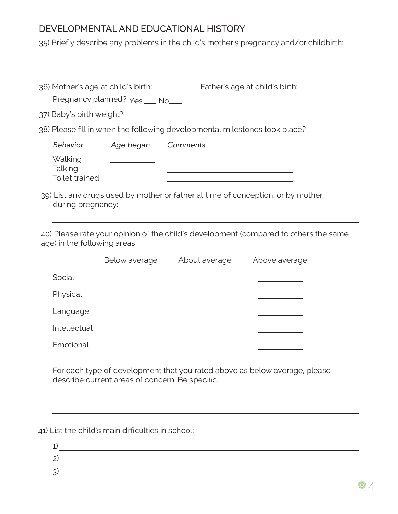## DEVELOPMENTAL AND EDUCATIONAL HISTORY

35) Briefly describe any problems in the child's mother's pregnancy and/or childbirth:

|                                                                                 |                                                                                                                                                                                                                                      | 36) Mother's age at child's birth: Father's age at child's birth: The Mother's age at child's birth:                 |
|---------------------------------------------------------------------------------|--------------------------------------------------------------------------------------------------------------------------------------------------------------------------------------------------------------------------------------|----------------------------------------------------------------------------------------------------------------------|
|                                                                                 | Pregnancy planned? Yes __ No__                                                                                                                                                                                                       |                                                                                                                      |
|                                                                                 | 37) Baby's birth weight?                                                                                                                                                                                                             |                                                                                                                      |
|                                                                                 |                                                                                                                                                                                                                                      | 38) Please fill in when the following developmental milestones took place?                                           |
| Behavior                                                                        | Age began                                                                                                                                                                                                                            | Comments                                                                                                             |
| Walking<br>Talking<br>Toilet trained                                            |                                                                                                                                                                                                                                      | <u> 1980 - John Stein, marking and de Britain and de Britain and de Britain and de Britain and de Britain and de</u> |
| 39) List any drugs used by mother or father at time of conception, or by mother |                                                                                                                                                                                                                                      |                                                                                                                      |
|                                                                                 |                                                                                                                                                                                                                                      |                                                                                                                      |
| age) in the following areas:                                                    | Below average                                                                                                                                                                                                                        | About average<br>Above average                                                                                       |
| Social                                                                          |                                                                                                                                                                                                                                      |                                                                                                                      |
| Physical                                                                        |                                                                                                                                                                                                                                      | 40) Please rate your opinion of the child's development (compared to others the same                                 |
| Language                                                                        | <u>and the community of the community of the community of the community of the community of the community of the community of the community of the community of the community of the community of the community of the community</u> |                                                                                                                      |
| Intellectual                                                                    |                                                                                                                                                                                                                                      |                                                                                                                      |

41) List the child's main difficulties in school:

| 2, |    |
|----|----|
| ς  |    |
|    | ₩. |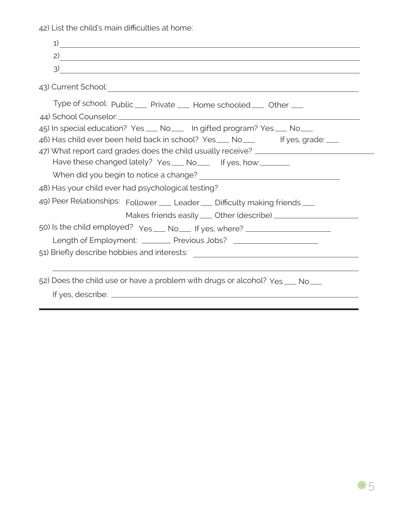42) List the child's main difficulties at home:

| 1)                                                                                                                                                                   |
|----------------------------------------------------------------------------------------------------------------------------------------------------------------------|
| $\overline{2}$                                                                                                                                                       |
|                                                                                                                                                                      |
| 43) Current School: 2008 2009 2010 2020 2020 2031 2032 2040 2051 2052 2053 2054 2055 2056 2057 2058 2059 2059                                                        |
| Type of school: Public ___ Private ___ Home schooled ___ Other ___                                                                                                   |
| 45) In special education? Yes ___ No ___ In gifted program? Yes ___ No ___<br>46) Has child ever been held back in school? Yes ___ No___ Figures, grade: __          |
| 47) What report card grades does the child usually receive? ____________________<br>Have these changed lately? Yes ___ No___ If yes, how: _______                    |
| 48) Has your child ever had psychological testing?                                                                                                                   |
| 49) Peer Relationships: Follower __ Leader __ Difficulty making friends __                                                                                           |
|                                                                                                                                                                      |
| 50) Is the child employed? Yes ___ No ___ If yes, where? _______________________<br>Length of Employment: _________ Previous Jobs? _________________________________ |
|                                                                                                                                                                      |
| 52) Does the child use or have a problem with drugs or alcohol? Yes ___ No___                                                                                        |
|                                                                                                                                                                      |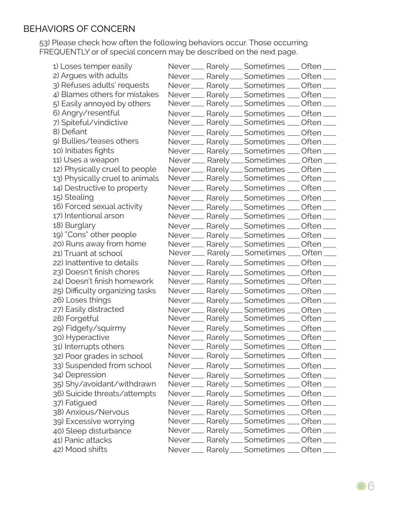## BEHAVIORS OF CONCERN

53) Please check how often the following behaviors occur. Those occurring FREQUENTLY or of special concern may be described on the next page.

1) Loses temper easily 2) Argues with adults 3) Refuses adults' requests 4) Blames others for mistakes 5) Easily annoyed by others 6) Angry/resentful 7) Spiteful/vindictive 8) Defiant 9) Bullies/teases others 10) Initiates fights 11) Uses a weapon 12) Physically cruel to people 13) Physically cruel to animals 14) Destructive to property 15) Stealing 16) Forced sexual activity 17) Intentional arson 18) Burglary 19) "Cons" other people 20) Runs away from home 21) Truant at school 22) Inattentive to details 23) Doesn't finish chores 24) Doesn't finish homework 25) Difficulty organizing tasks 26) Loses things 27) Easily distracted 28) Forgetful 29) Fidgety/squirmy 30) Hyperactive 31) Interrupts others 32) Poor grades in school 33) Suspended from school 34) Depression 35) Shy/avoidant/withdrawn 36) Suicide threats/attempts 37) Fatigued 38) Anxious/Nervous 39) Excessive worrying 40) Sleep disturbance 41) Panic attacks 42) Mood shifts

Never \_\_\_ Rarely \_\_\_ Sometimes \_\_\_ Often \_\_\_ Never Rarely Sometimes Coften Never Rarely Sometimes Coften Never \_\_\_ Rarely \_\_\_ Sometimes \_\_\_ Often \_\_\_ Never Rarely Sometimes Coften Never Rarely Sometimes Coften Never Rarely Sometimes Coften Never Rarely Sometimes Coften Never \_\_\_ Rarely \_\_\_ Sometimes \_\_\_ Often \_\_\_ Never Rarely Sometimes Coften Never \_\_\_ Rarely \_\_\_ Sometimes \_\_\_ Often \_\_\_ Never Rarely Sometimes Coften Never Rarely Sometimes Coften Never \_\_ Rarely \_\_ Sometimes \_\_ Often \_\_ Never Rarely Sometimes Coften Never Rarely Sometimes Coften Never Rarely Sometimes Coften Never Rarely Sometimes Coften Never Rarely Sometimes Coften Never Rarely Sometimes Often Never <sub>\_\_</sub>\_\_ Rarely \_\_\_ Sometimes \_\_\_ Often \_\_\_ Never Rarely Sometimes Coften Never Rarely \_\_ Sometimes \_\_ Often \_\_ Never Rarely Sometimes Often Never \_\_\_ Rarely \_\_\_ Sometimes \_\_\_ Often \_\_\_ Never \_\_\_ Rarely \_\_\_ Sometimes \_\_\_ Often \_\_\_ Never Rarely Sometimes Coften Never Rarely Sometimes Coften Never Rarely Sometimes Coften Never \_\_\_ Rarely \_\_\_ Sometimes \_\_\_ Often \_\_\_ Never \_\_\_ Rarely \_\_\_ Sometimes \_\_\_ Often \_\_\_ Never Rarely Sometimes Coften Never Rarely Sometimes Coften Never Rarely Sometimes Coften Never Rarely Sometimes Coften Never Rarely \_\_ Sometimes \_\_ Often \_\_ Never Rarely Sometimes Coften Never Rarely Sometimes Coften Never \_\_\_ Rarely \_\_\_ Sometimes \_\_\_ Often \_\_\_ Never \_\_\_ Rarely \_\_\_ Sometimes \_\_\_ Often \_\_\_ Never Rarely Sometimes Coften Never Rarely Sometimes Coften